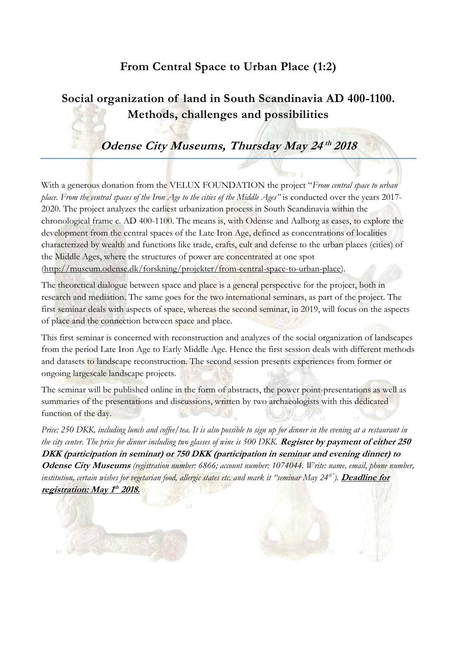## **From Central Space to Urban Place (1:2)**

# **Social organization of land in South Scandinavia AD 400-1100. Methods, challenges and possibilities**

# **Odense City Museums, Thursday May 24 th 2018**

With a generous donation from the VELUX FOUNDATION the project "*From central space to urban place. From the central spaces of the Iron Age to the cities of the Middle Ages"* is conducted over the years 2017- 2020. The project analyzes the earliest urbanization process in South Scandinavia within the chronological frame c. AD 400-1100. The means is, with Odense and Aalborg as cases, to explore the development from the central spaces of the Late Iron Age, defined as concentrations of localities characterized by wealth and functions like trade, crafts, cult and defense to the urban places (cities) of the Middle Ages, where the structures of power are concentrated at one spot [\(http://museum.odense.dk/forskning/projekter/from-central-space-to-urban-place\)](http://museum.odense.dk/forskning/projekter/from-central-space-to-urban-place).

The theoretical dialogue between space and place is a general perspective for the project, both in research and mediation. The same goes for the two international seminars, as part of the project. The first seminar deals with aspects of space, whereas the second seminar, in 2019, will focus on the aspects of place and the connection between space and place.

This first seminar is concerned with reconstruction and analyzes of the social organization of landscapes from the period Late Iron Age to Early Middle Age. Hence the first session deals with different methods and datasets to landscape reconstruction. The second session presents experiences from former or ongoing largescale landscape projects.

The seminar will be published online in the form of abstracts, the power point-presentations as well as summaries of the presentations and discussions, written by two archaeologists with this dedicated function of the day.

*Price: 250 DKK, including lunch and coffee/tea. It is also possible to sign up for dinner in the evening at a restaurant in the city center. The price for dinner including two glasses of wine is 500 DKK.* **Register by payment of either 250 DKK (participation in seminar) or 750 DKK (participation in seminar and evening dinner) to Odense City Museums** *(registration number: 6866; account number: 1074044. Write: name, email, phone number, institution, certain wishes for vegetarian food, allergic states etc. and mark it "seminar May 24th" ).* **Deadline for registration: May 1 th 2018.**